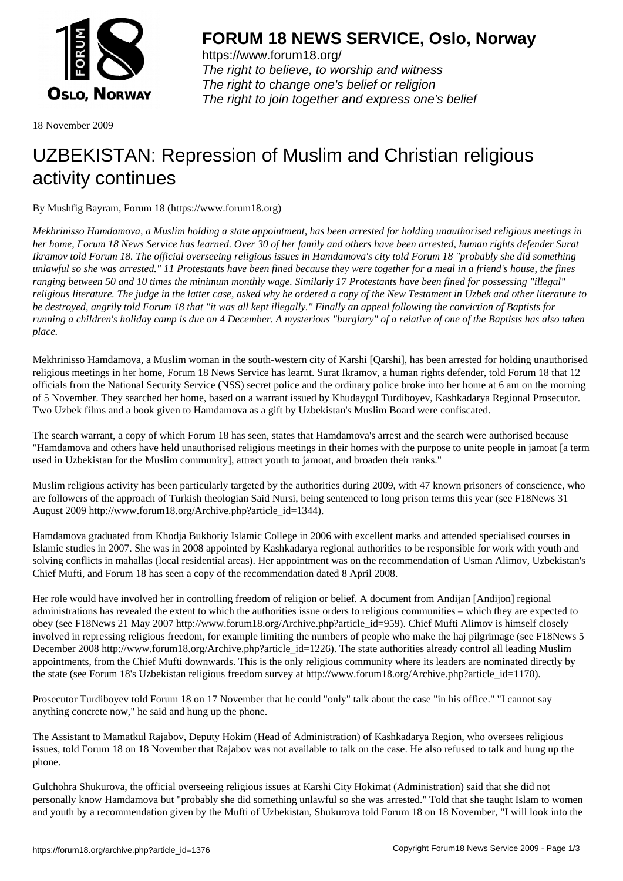

https://www.forum18.org/ The right to believe, to worship and witness The right to change one's belief or religion [The right to join together a](https://www.forum18.org/)nd express one's belief

18 November 2009

## [UZBEKISTAN:](https://www.forum18.org) Repression of Muslim and Christian religious activity continues

By Mushfig Bayram, Forum 18 (https://www.forum18.org)

*Mekhrinisso Hamdamova, a Muslim holding a state appointment, has been arrested for holding unauthorised religious meetings in her home, Forum 18 News Service has learned. Over 30 of her family and others have been arrested, human rights defender Surat Ikramov told Forum 18. The official overseeing religious issues in Hamdamova's city told Forum 18 "probably she did something unlawful so she was arrested." 11 Protestants have been fined because they were together for a meal in a friend's house, the fines ranging between 50 and 10 times the minimum monthly wage. Similarly 17 Protestants have been fined for possessing "illegal" religious literature. The judge in the latter case, asked why he ordered a copy of the New Testament in Uzbek and other literature to be destroyed, angrily told Forum 18 that "it was all kept illegally." Finally an appeal following the conviction of Baptists for running a children's holiday camp is due on 4 December. A mysterious "burglary" of a relative of one of the Baptists has also taken place.*

Mekhrinisso Hamdamova, a Muslim woman in the south-western city of Karshi [Qarshi], has been arrested for holding unauthorised religious meetings in her home, Forum 18 News Service has learnt. Surat Ikramov, a human rights defender, told Forum 18 that 12 officials from the National Security Service (NSS) secret police and the ordinary police broke into her home at 6 am on the morning of 5 November. They searched her home, based on a warrant issued by Khudaygul Turdiboyev, Kashkadarya Regional Prosecutor. Two Uzbek films and a book given to Hamdamova as a gift by Uzbekistan's Muslim Board were confiscated.

The search warrant, a copy of which Forum 18 has seen, states that Hamdamova's arrest and the search were authorised because "Hamdamova and others have held unauthorised religious meetings in their homes with the purpose to unite people in jamoat [a term used in Uzbekistan for the Muslim community], attract youth to jamoat, and broaden their ranks."

Muslim religious activity has been particularly targeted by the authorities during 2009, with 47 known prisoners of conscience, who are followers of the approach of Turkish theologian Said Nursi, being sentenced to long prison terms this year (see F18News 31 August 2009 http://www.forum18.org/Archive.php?article\_id=1344).

Hamdamova graduated from Khodja Bukhoriy Islamic College in 2006 with excellent marks and attended specialised courses in Islamic studies in 2007. She was in 2008 appointed by Kashkadarya regional authorities to be responsible for work with youth and solving conflicts in mahallas (local residential areas). Her appointment was on the recommendation of Usman Alimov, Uzbekistan's Chief Mufti, and Forum 18 has seen a copy of the recommendation dated 8 April 2008.

Her role would have involved her in controlling freedom of religion or belief. A document from Andijan [Andijon] regional administrations has revealed the extent to which the authorities issue orders to religious communities – which they are expected to obey (see F18News 21 May 2007 http://www.forum18.org/Archive.php?article\_id=959). Chief Mufti Alimov is himself closely involved in repressing religious freedom, for example limiting the numbers of people who make the haj pilgrimage (see F18News 5 December 2008 http://www.forum18.org/Archive.php?article\_id=1226). The state authorities already control all leading Muslim appointments, from the Chief Mufti downwards. This is the only religious community where its leaders are nominated directly by the state (see Forum 18's Uzbekistan religious freedom survey at http://www.forum18.org/Archive.php?article\_id=1170).

Prosecutor Turdiboyev told Forum 18 on 17 November that he could "only" talk about the case "in his office." "I cannot say anything concrete now," he said and hung up the phone.

The Assistant to Mamatkul Rajabov, Deputy Hokim (Head of Administration) of Kashkadarya Region, who oversees religious issues, told Forum 18 on 18 November that Rajabov was not available to talk on the case. He also refused to talk and hung up the phone.

Gulchohra Shukurova, the official overseeing religious issues at Karshi City Hokimat (Administration) said that she did not personally know Hamdamova but "probably she did something unlawful so she was arrested." Told that she taught Islam to women and youth by a recommendation given by the Mufti of Uzbekistan, Shukurova told Forum 18 on 18 November, "I will look into the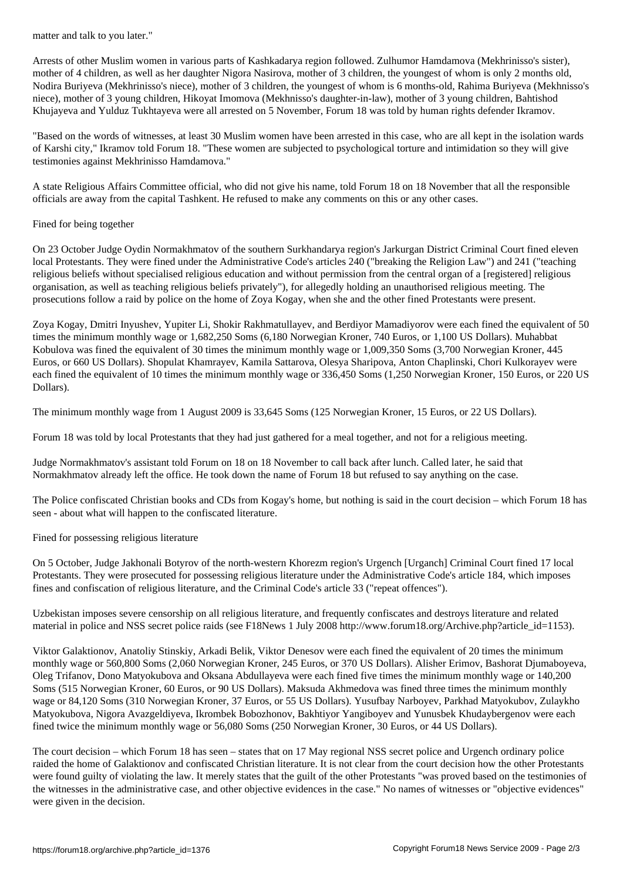Arrests of other Muslim women in various parts of Kashkadarya region followed. Zulhumor Hamdamova (Mekhrinisso's sister), mother of 4 children, as well as her daughter Nigora Nasirova, mother of 3 children, the youngest of whom is only 2 months old, Nodira Buriyeva (Mekhrinisso's niece), mother of 3 children, the youngest of whom is 6 months-old, Rahima Buriyeva (Mekhnisso's niece), mother of 3 young children, Hikoyat Imomova (Mekhnisso's daughter-in-law), mother of 3 young children, Bahtishod Khujayeva and Yulduz Tukhtayeva were all arrested on 5 November, Forum 18 was told by human rights defender Ikramov.

"Based on the words of witnesses, at least 30 Muslim women have been arrested in this case, who are all kept in the isolation wards of Karshi city," Ikramov told Forum 18. "These women are subjected to psychological torture and intimidation so they will give testimonies against Mekhrinisso Hamdamova."

A state Religious Affairs Committee official, who did not give his name, told Forum 18 on 18 November that all the responsible officials are away from the capital Tashkent. He refused to make any comments on this or any other cases.

## Fined for being together

On 23 October Judge Oydin Normakhmatov of the southern Surkhandarya region's Jarkurgan District Criminal Court fined eleven local Protestants. They were fined under the Administrative Code's articles 240 ("breaking the Religion Law") and 241 ("teaching religious beliefs without specialised religious education and without permission from the central organ of a [registered] religious organisation, as well as teaching religious beliefs privately"), for allegedly holding an unauthorised religious meeting. The prosecutions follow a raid by police on the home of Zoya Kogay, when she and the other fined Protestants were present.

Zoya Kogay, Dmitri Inyushev, Yupiter Li, Shokir Rakhmatullayev, and Berdiyor Mamadiyorov were each fined the equivalent of 50 times the minimum monthly wage or 1,682,250 Soms (6,180 Norwegian Kroner, 740 Euros, or 1,100 US Dollars). Muhabbat Kobulova was fined the equivalent of 30 times the minimum monthly wage or 1,009,350 Soms (3,700 Norwegian Kroner, 445 Euros, or 660 US Dollars). Shopulat Khamrayev, Kamila Sattarova, Olesya Sharipova, Anton Chaplinski, Chori Kulkorayev were each fined the equivalent of 10 times the minimum monthly wage or 336,450 Soms (1,250 Norwegian Kroner, 150 Euros, or 220 US Dollars).

The minimum monthly wage from 1 August 2009 is 33,645 Soms (125 Norwegian Kroner, 15 Euros, or 22 US Dollars).

Forum 18 was told by local Protestants that they had just gathered for a meal together, and not for a religious meeting.

Judge Normakhmatov's assistant told Forum on 18 on 18 November to call back after lunch. Called later, he said that Normakhmatov already left the office. He took down the name of Forum 18 but refused to say anything on the case.

The Police confiscated Christian books and CDs from Kogay's home, but nothing is said in the court decision – which Forum 18 has seen - about what will happen to the confiscated literature.

Fined for possessing religious literature

On 5 October, Judge Jakhonali Botyrov of the north-western Khorezm region's Urgench [Urganch] Criminal Court fined 17 local Protestants. They were prosecuted for possessing religious literature under the Administrative Code's article 184, which imposes fines and confiscation of religious literature, and the Criminal Code's article 33 ("repeat offences").

Uzbekistan imposes severe censorship on all religious literature, and frequently confiscates and destroys literature and related material in police and NSS secret police raids (see F18News 1 July 2008 http://www.forum18.org/Archive.php?article\_id=1153).

Viktor Galaktionov, Anatoliy Stinskiy, Arkadi Belik, Viktor Denesov were each fined the equivalent of 20 times the minimum monthly wage or 560,800 Soms (2,060 Norwegian Kroner, 245 Euros, or 370 US Dollars). Alisher Erimov, Bashorat Djumaboyeva, Oleg Trifanov, Dono Matyokubova and Oksana Abdullayeva were each fined five times the minimum monthly wage or 140,200 Soms (515 Norwegian Kroner, 60 Euros, or 90 US Dollars). Maksuda Akhmedova was fined three times the minimum monthly wage or 84,120 Soms (310 Norwegian Kroner, 37 Euros, or 55 US Dollars). Yusufbay Narboyev, Parkhad Matyokubov, Zulaykho Matyokubova, Nigora Avazgeldiyeva, Ikrombek Bobozhonov, Bakhtiyor Yangiboyev and Yunusbek Khudaybergenov were each fined twice the minimum monthly wage or 56,080 Soms (250 Norwegian Kroner, 30 Euros, or 44 US Dollars).

The court decision – which Forum 18 has seen – states that on 17 May regional NSS secret police and Urgench ordinary police raided the home of Galaktionov and confiscated Christian literature. It is not clear from the court decision how the other Protestants were found guilty of violating the law. It merely states that the guilt of the other Protestants "was proved based on the testimonies of the witnesses in the administrative case, and other objective evidences in the case." No names of witnesses or "objective evidences" were given in the decision.